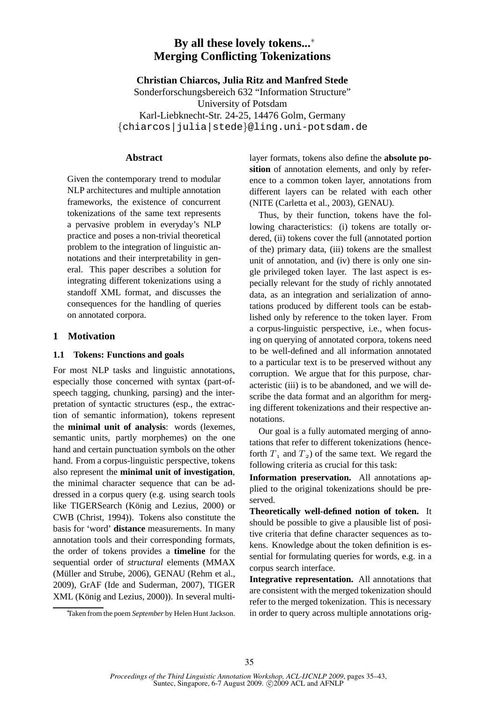# **By all these lovely tokens...**<sup>∗</sup> **Merging Conflicting Tokenizations**

**Christian Chiarcos, Julia Ritz and Manfred Stede**

Sonderforschungsbereich 632 "Information Structure" University of Potsdam

Karl-Liebknecht-Str. 24-25, 14476 Golm, Germany {chiarcos|julia|stede}@ling.uni-potsdam.de

# **Abstract**

Given the contemporary trend to modular NLP architectures and multiple annotation frameworks, the existence of concurrent tokenizations of the same text represents a pervasive problem in everyday's NLP practice and poses a non-trivial theoretical problem to the integration of linguistic annotations and their interpretability in general. This paper describes a solution for integrating different tokenizations using a standoff XML format, and discusses the consequences for the handling of queries on annotated corpora.

# **1 Motivation**

# **1.1 Tokens: Functions and goals**

For most NLP tasks and linguistic annotations, especially those concerned with syntax (part-ofspeech tagging, chunking, parsing) and the interpretation of syntactic structures (esp., the extraction of semantic information), tokens represent the **minimal unit of analysis**: words (lexemes, semantic units, partly morphemes) on the one hand and certain punctuation symbols on the other hand. From a corpus-linguistic perspective, tokens also represent the **minimal unit of investigation**, the minimal character sequence that can be addressed in a corpus query (e.g. using search tools like TIGERSearch (König and Lezius, 2000) or CWB (Christ, 1994)). Tokens also constitute the basis for 'word' **distance** measurements. In many annotation tools and their corresponding formats, the order of tokens provides a **timeline** for the sequential order of *structural* elements (MMAX (Müller and Strube, 2006), GENAU (Rehm et al., 2009), GrAF (Ide and Suderman, 2007), TIGER XML (König and Lezius, 2000)). In several multilayer formats, tokens also define the **absolute position** of annotation elements, and only by reference to a common token layer, annotations from different layers can be related with each other (NITE (Carletta et al., 2003), GENAU).

Thus, by their function, tokens have the following characteristics: (i) tokens are totally ordered, (ii) tokens cover the full (annotated portion of the) primary data, (iii) tokens are the smallest unit of annotation, and (iv) there is only one single privileged token layer. The last aspect is especially relevant for the study of richly annotated data, as an integration and serialization of annotations produced by different tools can be established only by reference to the token layer. From a corpus-linguistic perspective, i.e., when focusing on querying of annotated corpora, tokens need to be well-defined and all information annotated to a particular text is to be preserved without any corruption. We argue that for this purpose, characteristic (iii) is to be abandoned, and we will describe the data format and an algorithm for merging different tokenizations and their respective annotations.

Our goal is a fully automated merging of annotations that refer to different tokenizations (henceforth  $T_1$  and  $T_2$ ) of the same text. We regard the following criteria as crucial for this task:

**Information preservation.** All annotations applied to the original tokenizations should be preserved.

**Theoretically well-defined notion of token.** It should be possible to give a plausible list of positive criteria that define character sequences as tokens. Knowledge about the token definition is essential for formulating queries for words, e.g. in a corpus search interface.

**Integrative representation.** All annotations that are consistent with the merged tokenization should refer to the merged tokenization. This is necessary in order to query across multiple annotations orig-

<sup>∗</sup>Taken from the poem *September* by Helen Hunt Jackson.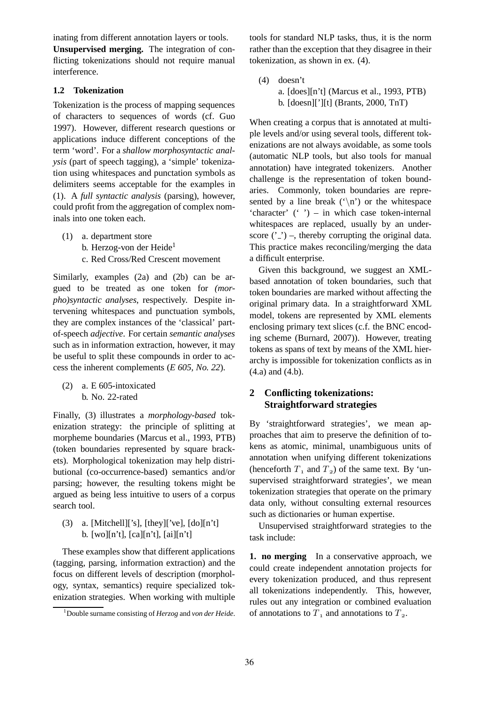inating from different annotation layers or tools. **Unsupervised merging.** The integration of conflicting tokenizations should not require manual interference.

# **1.2 Tokenization**

Tokenization is the process of mapping sequences of characters to sequences of words (cf. Guo 1997). However, different research questions or applications induce different conceptions of the term 'word'. For a *shallow morphosyntactic analysis* (part of speech tagging), a 'simple' tokenization using whitespaces and punctation symbols as delimiters seems acceptable for the examples in (1). A *full syntactic analysis* (parsing), however, could profit from the aggregation of complex nominals into one token each.

- (1) a. department store
	- b. Herzog-von der Heide<sup>1</sup>
	- c. Red Cross/Red Crescent movement

Similarly, examples (2a) and (2b) can be argued to be treated as one token for *(morpho)syntactic analyses*, respectively. Despite intervening whitespaces and punctuation symbols, they are complex instances of the 'classical' partof-speech *adjective*. For certain *semantic analyses* such as in information extraction, however, it may be useful to split these compounds in order to access the inherent complements (*E 605, No. 22*).

(2) a. E 605-intoxicated b. No. 22-rated

Finally, (3) illustrates a *morphology-based* tokenization strategy: the principle of splitting at morpheme boundaries (Marcus et al., 1993, PTB) (token boundaries represented by square brackets). Morphological tokenization may help distributional (co-occurrence-based) semantics and/or parsing; however, the resulting tokens might be argued as being less intuitive to users of a corpus search tool.

(3) a. [Mitchell]['s], [they]['ve],  $[do][n't]$ b.  $[wo][n't]$ ,  $[ca][n't]$ ,  $[ai][n't]$ 

These examples show that different applications (tagging, parsing, information extraction) and the focus on different levels of description (morphology, syntax, semantics) require specialized tokenization strategies. When working with multiple tools for standard NLP tasks, thus, it is the norm rather than the exception that they disagree in their tokenization, as shown in ex. (4).

- (4) doesn't
	- a. [does][n't] (Marcus et al., 1993, PTB) b. [doesn]['][t] (Brants, 2000, TnT)

When creating a corpus that is annotated at multiple levels and/or using several tools, different tokenizations are not always avoidable, as some tools (automatic NLP tools, but also tools for manual annotation) have integrated tokenizers. Another challenge is the representation of token boundaries. Commonly, token boundaries are represented by a line break  $(\n\cdot \n)$  or the whitespace 'character'  $('')$  – in which case token-internal whitespaces are replaced, usually by an underscore  $('_')$  –, thereby corrupting the original data. This practice makes reconciling/merging the data a difficult enterprise.

Given this background, we suggest an XMLbased annotation of token boundaries, such that token boundaries are marked without affecting the original primary data. In a straightforward XML model, tokens are represented by XML elements enclosing primary text slices (c.f. the BNC encoding scheme (Burnard, 2007)). However, treating tokens as spans of text by means of the XML hierarchy is impossible for tokenization conflicts as in (4.a) and (4.b).

# **2 Conflicting tokenizations: Straightforward strategies**

By 'straightforward strategies', we mean approaches that aim to preserve the definition of tokens as atomic, minimal, unambiguous units of annotation when unifying different tokenizations (henceforth  $T_1$  and  $T_2$ ) of the same text. By 'unsupervised straightforward strategies', we mean tokenization strategies that operate on the primary data only, without consulting external resources such as dictionaries or human expertise.

Unsupervised straightforward strategies to the task include:

**1. no merging** In a conservative approach, we could create independent annotation projects for every tokenization produced, and thus represent all tokenizations independently. This, however, rules out any integration or combined evaluation of annotations to  $T_1$  and annotations to  $T_2$ .

<sup>1</sup>Double surname consisting of *Herzog* and *von der Heide*.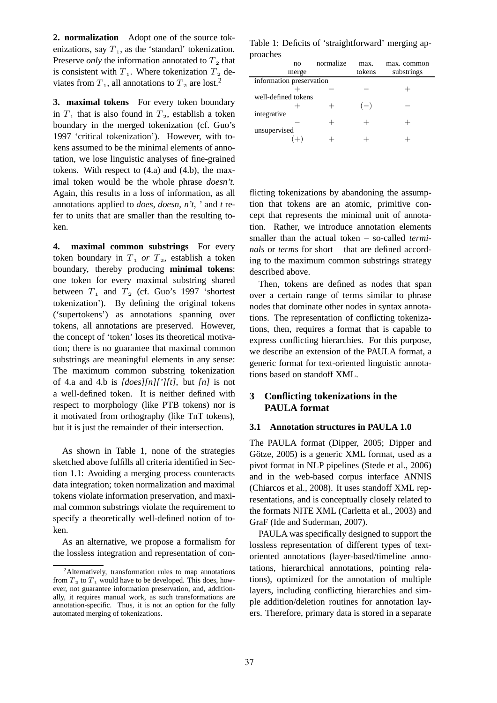**2. normalization** Adopt one of the source tokenizations, say  $T<sub>1</sub>$ , as the 'standard' tokenization. Preserve *only* the information annotated to  $T<sub>2</sub>$  that is consistent with  $T_1$ . Where tokenization  $T_2$  deviates from  $T_1$ , all annotations to  $T_2$  are lost.<sup>2</sup>

**3. maximal tokens** For every token boundary in  $T_1$  that is also found in  $T_2$ , establish a token boundary in the merged tokenization (cf. Guo's 1997 'critical tokenization'). However, with tokens assumed to be the minimal elements of annotation, we lose linguistic analyses of fine-grained tokens. With respect to (4.a) and (4.b), the maximal token would be the whole phrase *doesn't*. Again, this results in a loss of information, as all annotations applied to *does*, *doesn*, *n't*, *'* and *t* refer to units that are smaller than the resulting token.

**4. maximal common substrings** For every token boundary in  $T_1$  or  $T_2$ , establish a token boundary, thereby producing **minimal tokens**: one token for every maximal substring shared between  $T_1$  and  $T_2$  (cf. Guo's 1997 'shortest tokenization'). By defining the original tokens ('supertokens') as annotations spanning over tokens, all annotations are preserved. However, the concept of 'token' loses its theoretical motivation; there is no guarantee that maximal common substrings are meaningful elements in any sense: The maximum common substring tokenization of 4.a and 4.b is *[does][n]['][t]*, but *[n]* is not a well-defined token. It is neither defined with respect to morphology (like PTB tokens) nor is it motivated from orthography (like TnT tokens), but it is just the remainder of their intersection.

As shown in Table 1, none of the strategies sketched above fulfills all criteria identified in Section 1.1: Avoiding a merging process counteracts data integration; token normalization and maximal tokens violate information preservation, and maximal common substrings violate the requirement to specify a theoretically well-defined notion of token.

As an alternative, we propose a formalism for the lossless integration and representation of con-

Table 1: Deficits of 'straightforward' merging approaches

| no<br>merge              | normalize | max.<br>tokens | max. common<br>substrings |  |
|--------------------------|-----------|----------------|---------------------------|--|
| information preservation |           |                |                           |  |
|                          |           |                |                           |  |
| well-defined tokens      |           |                |                           |  |
|                          |           | $(-)$          |                           |  |
| integrative              |           |                |                           |  |
|                          |           |                |                           |  |
| unsupervised             |           |                |                           |  |
|                          |           |                |                           |  |

flicting tokenizations by abandoning the assumption that tokens are an atomic, primitive concept that represents the minimal unit of annotation. Rather, we introduce annotation elements smaller than the actual token – so-called *terminals* or *term*s for short – that are defined according to the maximum common substrings strategy described above.

Then, tokens are defined as nodes that span over a certain range of terms similar to phrase nodes that dominate other nodes in syntax annotations. The representation of conflicting tokenizations, then, requires a format that is capable to express conflicting hierarchies. For this purpose, we describe an extension of the PAULA format, a generic format for text-oriented linguistic annotations based on standoff XML.

# **3 Conflicting tokenizations in the PAULA format**

## **3.1 Annotation structures in PAULA 1.0**

The PAULA format (Dipper, 2005; Dipper and Götze, 2005) is a generic XML format, used as a pivot format in NLP pipelines (Stede et al., 2006) and in the web-based corpus interface ANNIS (Chiarcos et al., 2008). It uses standoff XML representations, and is conceptually closely related to the formats NITE XML (Carletta et al., 2003) and GraF (Ide and Suderman, 2007).

PAULA was specifically designed to support the lossless representation of different types of textoriented annotations (layer-based/timeline annotations, hierarchical annotations, pointing relations), optimized for the annotation of multiple layers, including conflicting hierarchies and simple addition/deletion routines for annotation layers. Therefore, primary data is stored in a separate

 $^{2}$ Alternatively, transformation rules to map annotations from  $T_2$  to  $T_1$  would have to be developed. This does, however, not guarantee information preservation, and, additionally, it requires manual work, as such transformations are annotation-specific. Thus, it is not an option for the fully automated merging of tokenizations.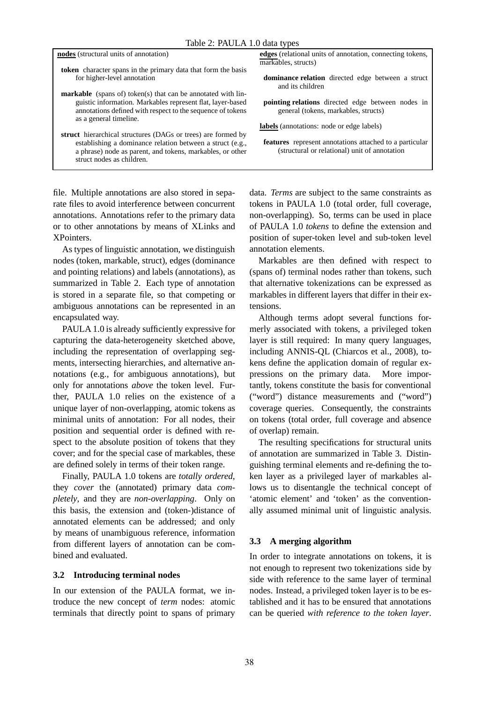Table 2: PAULA 1.0 data types

**nodes** (structural units of annotation)

- **token** character spans in the primary data that form the basis for higher-level annotation
- **markable** (spans of) token(s) that can be annotated with linguistic information. Markables represent flat, layer-based annotations defined with respect to the sequence of tokens as a general timeline.
- **struct** hierarchical structures (DAGs or trees) are formed by establishing a dominance relation between a struct (e.g., a phrase) node as parent, and tokens, markables, or other struct nodes as children.

file. Multiple annotations are also stored in separate files to avoid interference between concurrent annotations. Annotations refer to the primary data or to other annotations by means of XLinks and XPointers.

As types of linguistic annotation, we distinguish nodes (token, markable, struct), edges (dominance and pointing relations) and labels (annotations), as summarized in Table 2. Each type of annotation is stored in a separate file, so that competing or ambiguous annotations can be represented in an encapsulated way.

PAULA 1.0 is already sufficiently expressive for capturing the data-heterogeneity sketched above, including the representation of overlapping segments, intersecting hierarchies, and alternative annotations (e.g., for ambiguous annotations), but only for annotations *above* the token level. Further, PAULA 1.0 relies on the existence of a unique layer of non-overlapping, atomic tokens as minimal units of annotation: For all nodes, their position and sequential order is defined with respect to the absolute position of tokens that they cover; and for the special case of markables, these are defined solely in terms of their token range.

Finally, PAULA 1.0 tokens are *totally ordered*, they *cover* the (annotated) primary data *completely*, and they are *non-overlapping*. Only on this basis, the extension and (token-)distance of annotated elements can be addressed; and only by means of unambiguous reference, information from different layers of annotation can be combined and evaluated.

## **3.2 Introducing terminal nodes**

In our extension of the PAULA format, we introduce the new concept of *term* nodes: atomic terminals that directly point to spans of primary **edges** (relational units of annotation, connecting tokens, markables, structs)

- **dominance relation** directed edge between a struct and its children
- **pointing relations** directed edge between nodes in general (tokens, markables, structs)

**labels** (annotations: node or edge labels)

**features** represent annotations attached to a particular (structural or relational) unit of annotation

data. *Terms* are subject to the same constraints as tokens in PAULA 1.0 (total order, full coverage, non-overlapping). So, terms can be used in place of PAULA 1.0 *tokens* to define the extension and position of super-token level and sub-token level annotation elements.

Markables are then defined with respect to (spans of) terminal nodes rather than tokens, such that alternative tokenizations can be expressed as markables in different layers that differ in their extensions.

Although terms adopt several functions formerly associated with tokens, a privileged token layer is still required: In many query languages, including ANNIS-QL (Chiarcos et al., 2008), tokens define the application domain of regular expressions on the primary data. More importantly, tokens constitute the basis for conventional ("word") distance measurements and ("word") coverage queries. Consequently, the constraints on tokens (total order, full coverage and absence of overlap) remain.

The resulting specifications for structural units of annotation are summarized in Table 3. Distinguishing terminal elements and re-defining the token layer as a privileged layer of markables allows us to disentangle the technical concept of 'atomic element' and 'token' as the conventionally assumed minimal unit of linguistic analysis.

## **3.3 A merging algorithm**

In order to integrate annotations on tokens, it is not enough to represent two tokenizations side by side with reference to the same layer of terminal nodes. Instead, a privileged token layer is to be established and it has to be ensured that annotations can be queried *with reference to the token layer*.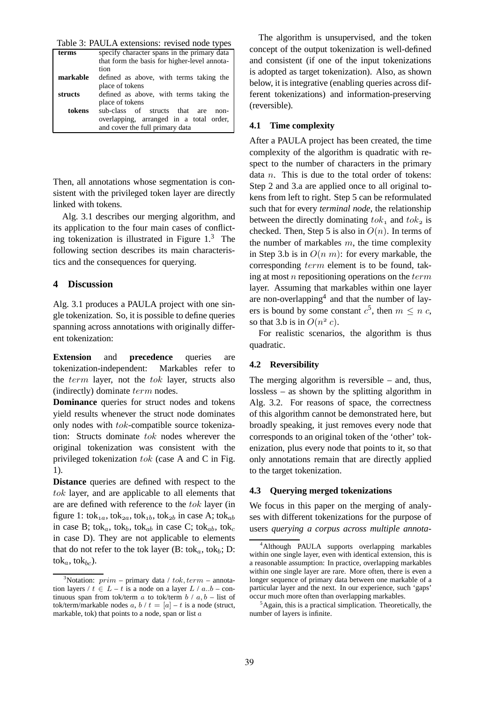Table 3: PAULA extensions: revised node types

| terms    | specify character spans in the primary data  |  |  |
|----------|----------------------------------------------|--|--|
|          |                                              |  |  |
|          | that form the basis for higher-level annota- |  |  |
|          | tion                                         |  |  |
| markable | defined as above, with terms taking the      |  |  |
|          | place of tokens                              |  |  |
| structs  | defined as above, with terms taking the      |  |  |
|          | place of tokens                              |  |  |
| tokens   | sub-class of structs that are<br>$non-$      |  |  |
|          | overlapping, arranged in a total order,      |  |  |
|          | and cover the full primary data              |  |  |

Then, all annotations whose segmentation is consistent with the privileged token layer are directly linked with tokens.

Alg. 3.1 describes our merging algorithm, and its application to the four main cases of conflicting tokenization is illustrated in Figure  $1<sup>3</sup>$  The following section describes its main characteristics and the consequences for querying.

## **4 Discussion**

Alg. 3.1 produces a PAULA project with one single tokenization. So, it is possible to define queries spanning across annotations with originally different tokenization:

**Extension** and **precedence** queries are tokenization-independent: Markables refer to the  $term$  layer, not the  $tok$  layer, structs also (indirectly) dominate term nodes.

**Dominance** queries for struct nodes and tokens yield results whenever the struct node dominates only nodes with tok-compatible source tokenization: Structs dominate tok nodes wherever the original tokenization was consistent with the privileged tokenization  $tok$  (case A and C in Fig. 1).

**Distance** queries are defined with respect to the tok layer, and are applicable to all elements that are are defined with reference to the tok layer (in figure 1: tok<sub>1a</sub>, tok<sub>2a</sub>, tok<sub>1b</sub>, tok<sub>2b</sub> in case A; tok<sub>ab</sub> in case B; tok<sub>a</sub>, tok<sub>b</sub>, tok<sub>ab</sub> in case C; tok<sub>ab</sub>, tok<sub>c</sub> in case D). They are not applicable to elements that do not refer to the tok layer (B: tok<sub>a</sub>, tok<sub>b</sub>; D: tok<sub>a</sub>, tok<sub>bc</sub>).

The algorithm is unsupervised, and the token concept of the output tokenization is well-defined and consistent (if one of the input tokenizations is adopted as target tokenization). Also, as shown below, it is integrative (enabling queries across different tokenizations) and information-preserving (reversible).

## **4.1 Time complexity**

After a PAULA project has been created, the time complexity of the algorithm is quadratic with respect to the number of characters in the primary data  $n$ . This is due to the total order of tokens: Step 2 and 3.a are applied once to all original tokens from left to right. Step 5 can be reformulated such that for every *terminal node*, the relationship between the directly dominating  $tok_1$  and  $tok_2$  is checked. Then, Step 5 is also in  $O(n)$ . In terms of the number of markables  $m$ , the time complexity in Step 3.b is in  $O(n \, m)$ : for every markable, the corresponding term element is to be found, taking at most n repositioning operations on the  $term$ layer. Assuming that markables within one layer are non-overlapping<sup>4</sup> and that the number of layers is bound by some constant  $c^5$ , then  $m \leq n$  c, so that 3.b is in  $O(n^2 c)$ .

For realistic scenarios, the algorithm is thus quadratic.

## **4.2 Reversibility**

The merging algorithm is reversible – and, thus, lossless – as shown by the splitting algorithm in Alg. 3.2. For reasons of space, the correctness of this algorithm cannot be demonstrated here, but broadly speaking, it just removes every node that corresponds to an original token of the 'other' tokenization, plus every node that points to it, so that only annotations remain that are directly applied to the target tokenization.

### **4.3 Querying merged tokenizations**

We focus in this paper on the merging of analyses with different tokenizations for the purpose of users *querying a corpus across multiple annota-*

<sup>&</sup>lt;sup>3</sup>Notation:  $prim$  – primary data / tok, term – annotation layers /  $t \in L - t$  is a node on a layer  $L / a..b - \text{con-}$ tinuous span from tok/term  $a$  to tok/term  $b / a$ ,  $b -$  list of tok/term/markable nodes a,  $b / t = [a] - t$  is a node (struct, markable, tok) that points to a node, span or list  $a$ 

<sup>4</sup>Although PAULA supports overlapping markables within one single layer, even with identical extension, this is a reasonable assumption: In practice, overlapping markables within one single layer are rare. More often, there is even a longer sequence of primary data between one markable of a particular layer and the next. In our experience, such 'gaps' occur much more often than overlapping markables.

 ${}^{5}$ Again, this is a practical simplication. Theoretically, the number of layers is infinite.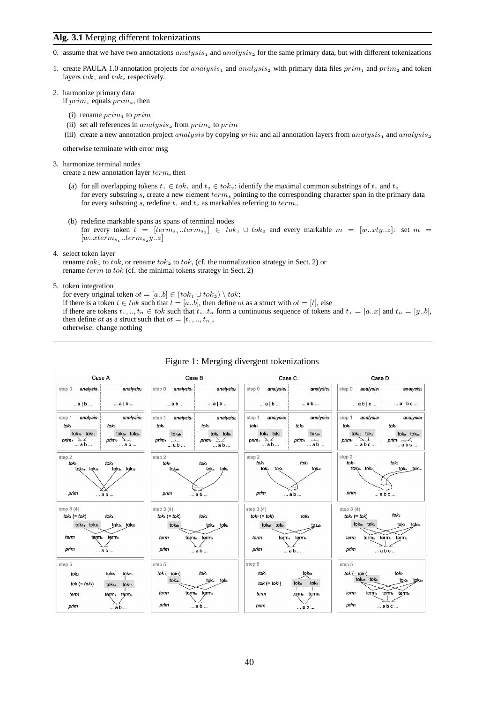### **Alg. 3.1** Merging different tokenizations

- 0. assume that we have two annotations  $analysis_1$  and  $analysis_2$  for the same primary data, but with different tokenizations
- 1. create PAULA 1.0 annotation projects for analysis, and analysis, with primary data files  $prim_1$  and  $prim_2$  and token layers  $tok_1$  and  $tok_2$  respectively.
- 2. harmonize primary data

if  $prim_1$  equals  $prim_2$ , then

- (i) rename  $prim_1$  to  $prim$
- (ii) set all references in analysis<sub>2</sub> from  $prim_2$  to prim
- (iii) create a new annotation project *analysis* by copying *prim* and all annotation layers from *analysis*<sub>1</sub> and *analysis*<sub>2</sub>

otherwise terminate with error msg

3. harmonize terminal nodes

create a new annotation layer term, then

- (a) for all overlapping tokens  $t_1 \in tok_1$  and  $t_2 \in tok_2$ : identify the maximal common substrings of  $t_1$  and  $t_2$ for every substring s, create a new element  $term_s$  pointing to the corresponding character span in the primary data for every substring s, redefine  $t_1$  and  $t_2$  as markables referring to  $term_s$
- (b) redefine markable spans as spans of terminal nodes for every token  $t = [term_{s_1}..term_{s_2}] \in tok_1 \cup tok_2$  and every markable  $m = [w..xty..z]$ : set  $m =$  $[w..xterm_{s_1}..term_{s_2}y..z]$
- 4. select token layer

rename tok<sub>1</sub> to tok, or rename tok<sub>2</sub> to tok, (cf. the normalization strategy in Sect. 2) or rename  $term$  to  $tok$  (cf. the minimal tokens strategy in Sect. 2)

#### 5. token integration

for every original token  $ot = [a,b] \in (tok_1 \cup tok_2) \setminus tok$ :

if there is a token  $t \in tok$  such that  $t = [a..b]$ , then define ot as a struct with  $ot = [t]$ , else if there are tokens  $t_1, ..., t_n \in tok$  such that  $t_1..t_n$  form a continuous sequence of tokens and  $t_1 = [a..x]$  and  $t_n = [y..b]$ , then define *ot* as a struct such that  $ot = [t_1, ..., t_n],$ otherwise: change nothing



## Figure 1: Merging divergent tokenizations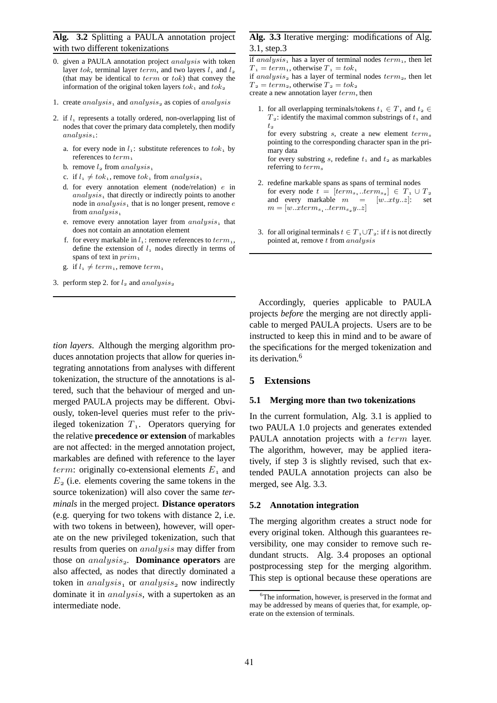# **Alg. 3.2** Splitting a PAULA annotation project with two different tokenizations

- 0. given a PAULA annotation project *analysis* with token layer tok, terminal layer term, and two layers  $l_1$  and  $l_2$ (that may be identical to term or tok) that convey the information of the original token layers  $tok_1$  and  $tok_2$
- 1. create  $analysis_1$  and  $analysis_2$  as copies of analysis
- 2. if  $l_1$  represents a totally ordered, non-overlapping list of nodes that cover the primary data completely, then modify analysis:
	- a. for every node in  $l_1$ : substitute references to  $tok_1$  by references to  $term_1$
	- b. remove  $l_2$  from analysis,
	- c. if  $l_1 \neq tok_1$ , remove  $tok_1$  from analysis,
	- d. for every annotation element (node/relation) e in  $analysis_1$  that directly or indirectly points to another node in  $analysis_1$  that is no longer present, remove  $e$ from *analysis*<sup>1</sup>
	- e. remove every annotation layer from  $analysis_1$  that does not contain an annotation element
	- f. for every markable in  $l_1$ : remove references to  $term_1$ , define the extension of  $l_1$  nodes directly in terms of spans of text in  $prim_1$
	- g. if  $l_1 \neq term_1$ , remove  $term_1$

3. perform step 2. for  $l_2$  and analysis<sub>2</sub>

*tion layers*. Although the merging algorithm produces annotation projects that allow for queries integrating annotations from analyses with different tokenization, the structure of the annotations is altered, such that the behaviour of merged and unmerged PAULA projects may be different. Obviously, token-level queries must refer to the privileged tokenization  $T<sub>1</sub>$ . Operators querying for the relative **precedence or extension** of markables are not affected: in the merged annotation project, markables are defined with reference to the layer term: originally co-extensional elements  $E_1$  and  $E<sub>2</sub>$  (i.e. elements covering the same tokens in the source tokenization) will also cover the same *terminals* in the merged project. **Distance operators** (e.g. querying for two tokens with distance 2, i.e. with two tokens in between), however, will operate on the new privileged tokenization, such that results from queries on analysis may differ from those on *analysis*<sub>2</sub>. **Dominance operators** are also affected, as nodes that directly dominated a token in analysis, or analysis, now indirectly dominate it in *analysis*, with a supertoken as an intermediate node.

# **Alg. 3.3** Iterative merging: modifications of Alg. 3.1, step.3

if analysis, has a layer of terminal nodes  $term_1$ , then let  $T_1 = term_1$ , otherwise  $T_1 = tok_1$ 

if analysis<sub>2</sub> has a layer of terminal nodes  $term<sub>2</sub>$ , then let  $T_2 = term_2$ , otherwise  $T_2 = tok_2$ 

create a new annotation layer term, then

1. for all overlapping terminals/tokens  $t_1 \in T_1$  and  $t_2 \in$  $T_2$ : identify the maximal common substrings of  $t_1$  and  $t_{2}$ 

for every substring  $s$ , create a new element  $term<sub>s</sub>$ pointing to the corresponding character span in the primary data

for every substring s, redefine  $t_1$  and  $t_2$  as markables referring to  $term_s$ 

- 2. redefine markable spans as spans of terminal nodes for every node  $t = [term_{s_1}...term_{s_2}] \in T_1 \cup T_2$ and every markable  $m = [w..xty..z]$ : set  $m = [w...xterm_{s_1}..term_{s_2}y..z]$
- 3. for all original terminals  $t \in T_1 \cup T_2$ : if t is not directly pointed at, remove t from analysis

Accordingly, queries applicable to PAULA projects *before* the merging are not directly applicable to merged PAULA projects. Users are to be instructed to keep this in mind and to be aware of the specifications for the merged tokenization and its derivation.<sup>6</sup>

### **5 Extensions**

#### **5.1 Merging more than two tokenizations**

In the current formulation, Alg. 3.1 is applied to two PAULA 1.0 projects and generates extended PAULA annotation projects with a term layer. The algorithm, however, may be applied iteratively, if step 3 is slightly revised, such that extended PAULA annotation projects can also be merged, see Alg. 3.3.

#### **5.2 Annotation integration**

The merging algorithm creates a struct node for every original token. Although this guarantees reversibility, one may consider to remove such redundant structs. Alg. 3.4 proposes an optional postprocessing step for the merging algorithm. This step is optional because these operations are

<sup>&</sup>lt;sup>6</sup>The information, however, is preserved in the format and may be addressed by means of queries that, for example, operate on the extension of terminals.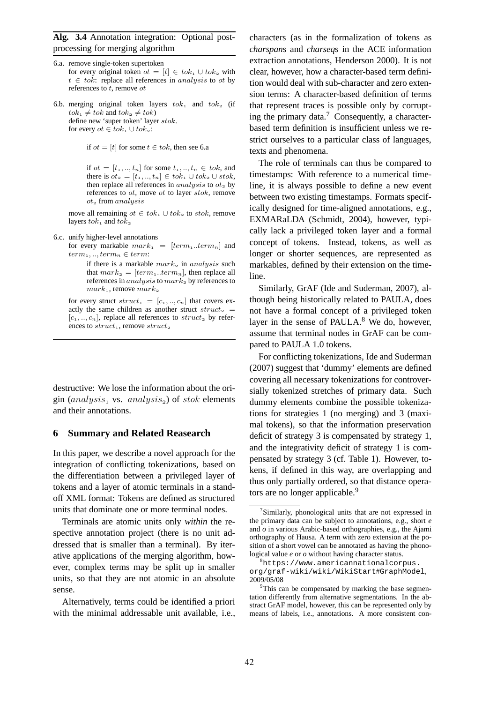**Alg. 3.4** Annotation integration: Optional postprocessing for merging algorithm

- 6.a. remove single-token supertoken for every original token  $ot = [t] \in tok_1 \cup tok_2$  with  $t \in tok$ : replace all references in analysis to ot by references to  $t$ , remove  $ot$
- 6.b. merging original token layers  $tok_1$  and  $tok_2$  (if  $tok_1 \neq tok$  and  $tok_2 \neq tok$ ) define new 'super token' layer stok. for every  $ot \in tok_1 \cup tok_2$ :

if  $ot = [t]$  for some  $t \in tok$ , then see 6.a

if  $ot = [t_1, ..., t_n]$  for some  $t_1, ..., t_n \in tok$ , and there is  $ot_2 = [t_1, ..., t_n] \in tok_1 \cup tok_2 \cup stok$ , then replace all references in *analysis* to  $\sigma t_2$  by references to ot, move ot to layer stok, remove  $ot_2$  from analysis

move all remaining  $ot \in tok_1 \cup tok_2$  to stok, remove layers  $tok_1$  and  $tok_2$ 

6.c. unify higher-level annotations

for every markable  $mark_1$  = [term..term<sub>n</sub>] and  $term_1,..,term_n \in term$ :

> if there is a markable  $mark_2$  in analysis such that  $mark_2 = [term_1..term_n]$ , then replace all references in *analysis* to  $mark<sub>2</sub>$  by references to  $mark_1$ , remove  $mark_2$

for every struct  $struct_1 = [c_1,..,c_n]$  that covers exactly the same children as another struct  $struct_2 =$  $[c_1, ..., c_n]$ , replace all references to  $struct_2$  by references to  $struct_{\rm 1},$  remove  $struct_{\rm 2}$ 

destructive: We lose the information about the origin (analysis, vs. analysis<sub>2</sub>) of stok elements and their annotations.

## **6 Summary and Related Reasearch**

In this paper, we describe a novel approach for the integration of conflicting tokenizations, based on the differentiation between a privileged layer of tokens and a layer of atomic terminals in a standoff XML format: Tokens are defined as structured units that dominate one or more terminal nodes.

Terminals are atomic units only *within* the respective annotation project (there is no unit addressed that is smaller than a terminal). By iterative applications of the merging algorithm, however, complex terms may be split up in smaller units, so that they are not atomic in an absolute sense.

Alternatively, terms could be identified a priori with the minimal addressable unit available, i.e., characters (as in the formalization of tokens as *charspan*s and *charseq*s in the ACE information extraction annotations, Henderson 2000). It is not clear, however, how a character-based term definition would deal with sub-character and zero extension terms: A character-based definition of terms that represent traces is possible only by corrupting the primary data. $\frac{7}{2}$  Consequently, a characterbased term definition is insufficient unless we restrict ourselves to a particular class of languages, texts and phenomena.

The role of terminals can thus be compared to timestamps: With reference to a numerical timeline, it is always possible to define a new event between two existing timestamps. Formats specifically designed for time-aligned annotations, e.g., EXMARaLDA (Schmidt, 2004), however, typically lack a privileged token layer and a formal concept of tokens. Instead, tokens, as well as longer or shorter sequences, are represented as markables, defined by their extension on the timeline.

Similarly, GrAF (Ide and Suderman, 2007), although being historically related to PAULA, does not have a formal concept of a privileged token layer in the sense of PAULA. $8$  We do, however, assume that terminal nodes in GrAF can be compared to PAULA 1.0 tokens.

For conflicting tokenizations, Ide and Suderman (2007) suggest that 'dummy' elements are defined covering all necessary tokenizations for controversially tokenized stretches of primary data. Such dummy elements combine the possible tokenizations for strategies 1 (no merging) and 3 (maximal tokens), so that the information preservation deficit of strategy 3 is compensated by strategy 1, and the integrativity deficit of strategy 1 is compensated by strategy 3 (cf. Table 1). However, tokens, if defined in this way, are overlapping and thus only partially ordered, so that distance operators are no longer applicable.<sup>9</sup>

<sup>&</sup>lt;sup>7</sup>Similarly, phonological units that are not expressed in the primary data can be subject to annotations, e.g., short *e* and *o* in various Arabic-based orthographies, e.g., the Ajami orthography of Hausa. A term with zero extension at the position of a short vowel can be annotated as having the phonological value *e* or *o* without having character status.

<sup>8</sup>https://www.americannationalcorpus. org/graf-wiki/wiki/WikiStart#GraphModel, 2009/05/08

<sup>&</sup>lt;sup>9</sup>This can be compensated by marking the base segmentation differently from alternative segmentations. In the abstract GrAF model, however, this can be represented only by means of labels, i.e., annotations. A more consistent con-